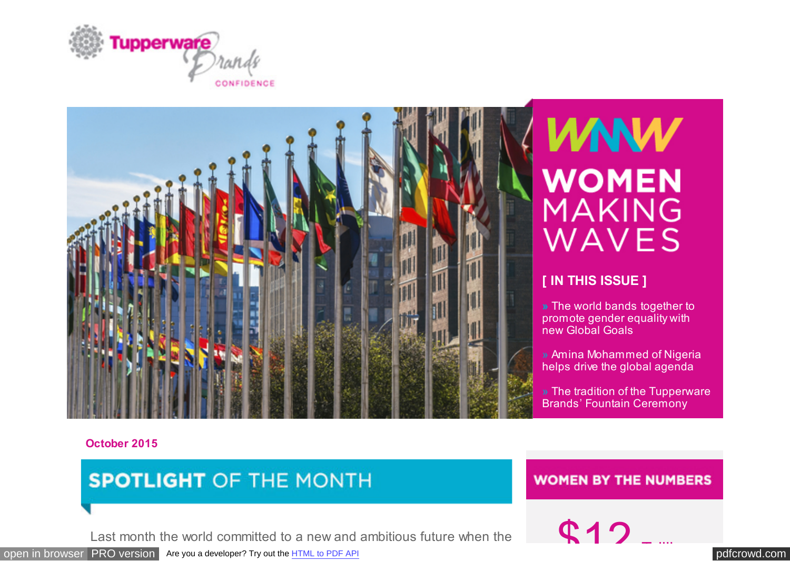<span id="page-0-0"></span>



## **WNW WOMEN** MAKING WAVES

### **[ IN THIS ISSUE ]**

**»** The world bands together to promote gender equality with new Global Goals

» Amina Mohammed of Nigeria helps drive the global agenda

» The tradition of the Tupperware Brands' Fountain Ceremony

#### **October 2015**

### **SPOTLIGHT OF THE MONTH**

### **WOMEN BY THE NUMBERS**

Last month the world committed to a new and ambitious future when the  $\mathbb{C}$  12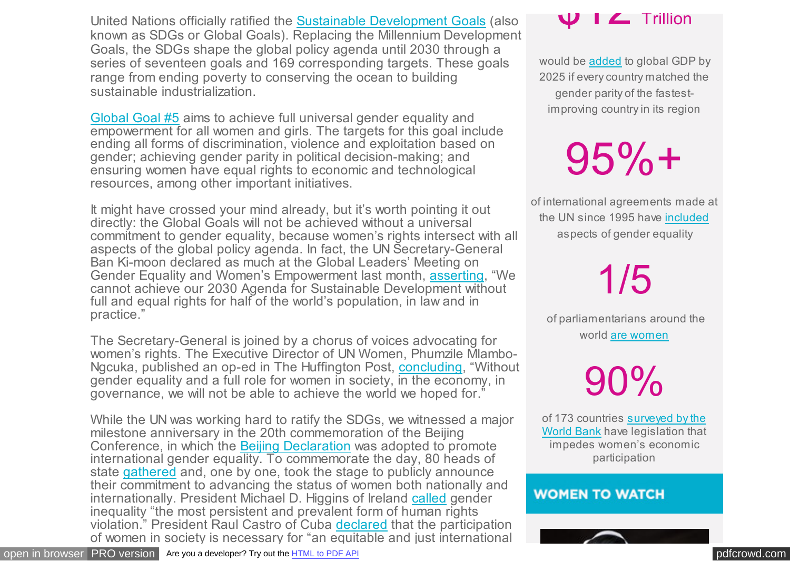United Nations officially ratified the [Sustainable Development Goals](https://t.e2ma.net/click/5wkos/938ivu/dz7l6i) (also known as SDGs or Global Goals). Replacing the Millennium Development Goals, the SDGs shape the global policy agenda until 2030 through a series of seventeen goals and 169 corresponding targets. These goals range from ending poverty to conserving the ocean to building sustainable industrialization.

[Global Goal #5](https://t.e2ma.net/click/5wkos/938ivu/tr8l6i) aims to achieve full universal gender equality and empowerment for all women and girls. The targets for this goal include ending all forms of discrimination, violence and exploitation based on gender; achieving gender parity in political decision-making; and ensuring women have equal rights to economic and technological resources, among other important initiatives.

It might have crossed your mind already, but it's worth pointing it out directly: the Global Goals will not be achieved without a universal commitment to gender equality, because women's rights intersect with all aspects of the global policy agenda. In fact, the UN Secretary-General Ban Ki-moon declared as much at the Global Leaders' Meeting on Gender Equality and Women's Empowerment last month, [asserting,](https://t.e2ma.net/click/5wkos/938ivu/9j9l6i) "We cannot achieve our 2030 Agenda for Sustainable Development without full and equal rights for half of the world's population, in law and in practice."

The Secretary-General is joined by a chorus of voices advocating for women's rights. The Executive Director of UN Women, Phumzile Mlambo-Ngcuka, published an op-ed in The Huffington Post, [concluding,](https://t.e2ma.net/click/5wkos/938ivu/pcam6i) "Without gender equality and a full role for women in society, in the economy, in governance, we will not be able to achieve the world we hoped for."

While the UN was working hard to ratify the SDGs, we witnessed a major milestone anniversary in the 20th commemoration of the Beijing Conference, in which the [Beijing Declaration](https://t.e2ma.net/click/5wkos/938ivu/54am6i) was adopted to promote international gender equality. To commemorate the day, 80 heads of state [gathered](https://t.e2ma.net/click/5wkos/938ivu/lxbm6i) and, one by one, took the stage to publicly announce their commitment to advancing the status of women both nationally and internationally. President Michael D. Higgins of Ireland [called](https://t.e2ma.net/click/5wkos/938ivu/1pcm6i) gender inequality "the most persistent and prevalent form of human rights violation." President Raul Castro of Cuba [declared](https://t.e2ma.net/click/5wkos/938ivu/hidm6i) that the participation of women in society is necessary for "an equitable and just international

would be [added](https://t.e2ma.net/click/5wkos/938ivu/d7lm6i) to global GDP by 2025 if every country matched the gender parity of the fastestimproving country in its region

# $95%$ +

of international agreements made at the UN since 1995 have [included](https://t.e2ma.net/click/5wkos/938ivu/tzmm6i) aspects of gender equality

1/5

 of parliamentarians around the world [are women](https://t.e2ma.net/click/5wkos/938ivu/9rnm6i)

90%

of 173 countries surveyed by the [World Bank have legislation that](https://t.e2ma.net/click/5wkos/938ivu/pkom6i) impedes women's economic participation

### **WOMEN TO WATCH**

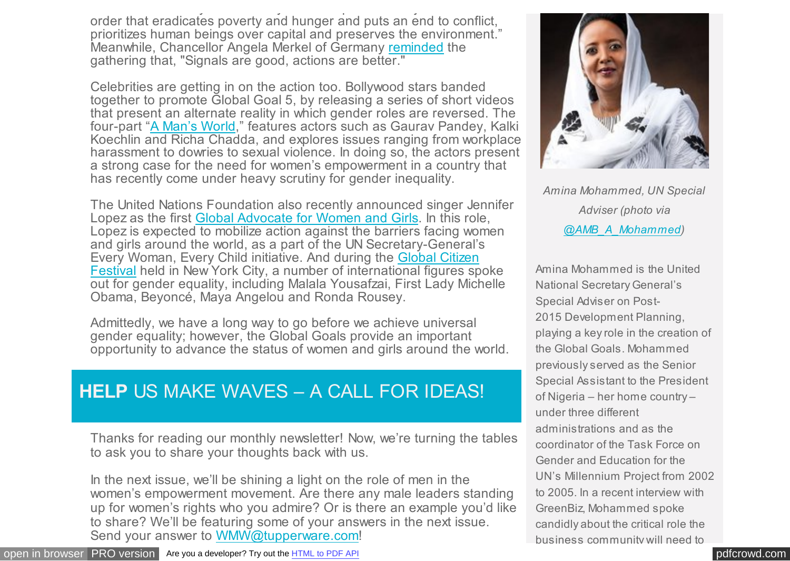of women in society is necessary for "an equitable and just international order that eradicates poverty and hunger and puts an end to conflict, prioritizes human beings over capital and preserves the environment." Meanwhile, Chancellor Angela Merkel of Germany [reminded](https://t.e2ma.net/click/5wkos/938ivu/xaem6i) the gathering that, "Signals are good, actions are better."

Celebrities are getting in on the action too. Bollywood stars banded together to promote Global Goal 5, by releasing a series of short videos that present an alternate reality in which gender roles are reversed. The four-part "[A Man's World,](https://t.e2ma.net/click/5wkos/938ivu/d3em6i)" features actors such as Gaurav Pandey, Kalki Koechlin and Richa Chadda, and explores issues ranging from workplace harassment to dowries to sexual violence. In doing so, the actors present a strong case for the need for women's empowerment in a country that has recently come under heavy scrutiny for gender inequality.

The United Nations Foundation also recently announced singer Jennifer Lopez as the first [Global Advocate for Women and Girls.](https://t.e2ma.net/click/5wkos/938ivu/tvfm6i) In this role, Lopez is expected to mobilize action against the barriers facing women and girls around the world, as a part of the UN Secretary-General's Every Woman, Every Child initiative. And during the Global Citizen [Festival held in New York City, a number of international figures sp](https://t.e2ma.net/click/5wkos/938ivu/9ngm6i)oke out for gender equality, including Malala Yousafzai, First Lady Michelle Obama, Beyoncé, Maya Angelou and Ronda Rousey.

Admittedly, we have a long way to go before we achieve universal gender equality; however, the Global Goals provide an important opportunity to advance the status of women and girls around the world.

### **HELP** US MAKE WAVES – A CALL FOR IDEAS!

Thanks for reading our monthly newsletter! Now, we're turning the tables to ask you to share your thoughts back with us.

In the next issue, we'll be shining a light on the role of men in the women's empowerment movement. Are there any male leaders standing up for women's rights who you admire? Or is there an example you'd like to share? We'll be featuring some of your answers in the next issue. Send your answer to [WMW@tupperware.com!](mailto:WMW@tupperware.com?subject=)



*Amina Mohammed, UN Special Adviser (photo via [@AMB\\_A\\_Mohammed\)](https://t.e2ma.net/click/5wkos/938ivu/5cpm6i)*

Amina Mohammed is the United National Secretary General's Special Adviser on Post-2015 Development Planning, playing a key role in the creation of the Global Goals. Mohammed previously served as the Senior Special Assistant to the President of Nigeria – her home country – under three different administrations and as the coordinator of the Task Force on Gender and Education for the UN's Millennium Project from 2002 to 2005. In a recent interview with GreenBiz, Mohammed spoke candidly about the critical role the business community will need to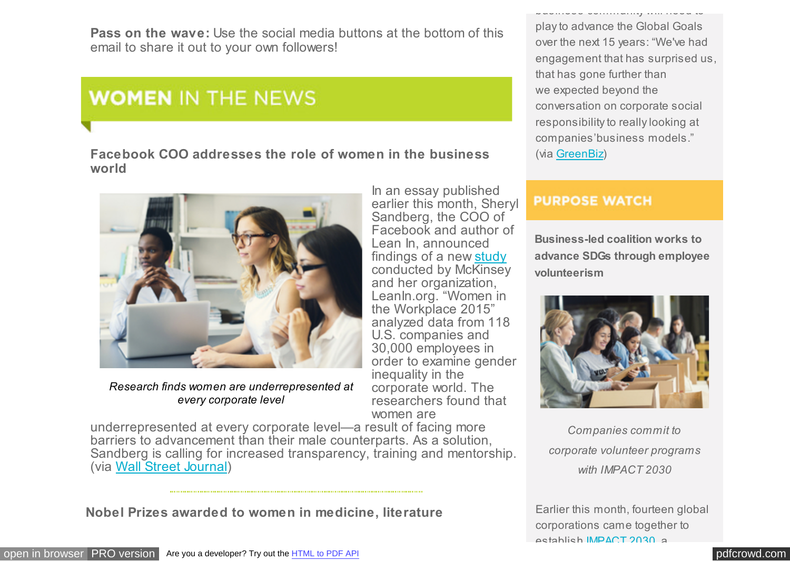**Pass on the wave:** Use the social media buttons at the bottom of this email to share it out to your own followers!

### **WOMEN IN THE NEWS**

**Facebook COO addresses the role of women in the business world**



*Research finds women are underrepresented at every corporate level*

underrepresented at every corporate level—a result of facing more barriers to advancement than their male counterparts. As a solution, Sandberg is calling for increased transparency, training and mentorship. (via [Wall Street Journal\)](https://t.e2ma.net/click/5wkos/938ivu/58hm6i)

corporate world. The researchers found that

women are

**Nobel Prizes awarded to women in medicine, literature**

play to advance the Global Goals over the next 15 years: "We've had engagement that has surprised us, that has gone further than we expected beyond the conversation on corporate social responsibility to really looking at companies'business models." (via [GreenBiz\)](https://t.e2ma.net/click/5wkos/938ivu/l5pm6i)

business community will need to

#### **PURPOSE WATCH**

**Business-led coalition works to advance SDGs through employee volunteerism**



*Companies commit to corporate volunteer programs with IMPACT 2030*

Earlier this month, fourteen global corporations came together to establish [IMPACT 2030,](https://t.e2ma.net/click/5wkos/938ivu/1xqm6i) a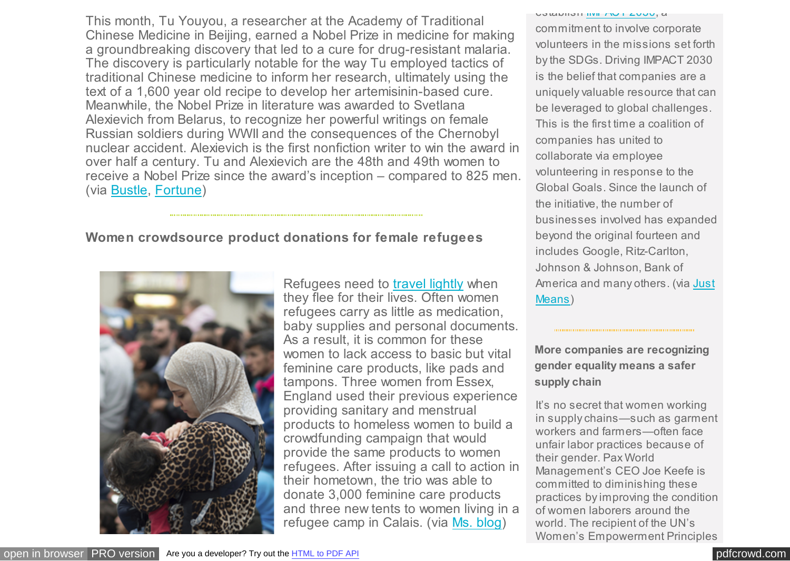This month, Tu Youyou, a researcher at the Academy of Traditional Chinese Medicine in Beijing, earned a Nobel Prize in medicine for making a groundbreaking discovery that led to a cure for drug-resistant malaria. The discovery is particularly notable for the way Tu employed tactics of traditional Chinese medicine to inform her research, ultimately using the text of a 1,600 year old recipe to develop her artemisinin-based cure. Meanwhile, the Nobel Prize in literature was awarded to Svetlana Alexievich from Belarus, to recognize her powerful writings on female Russian soldiers during WWII and the consequences of the Chernobyl nuclear accident. Alexievich is the first nonfiction writer to win the award in over half a century. Tu and Alexievich are the 48th and 49th women to receive a Nobel Prize since the award's inception – compared to 825 men. (via [Bustle,](https://t.e2ma.net/click/5wkos/938ivu/l1im6i) [Fortune\)](https://t.e2ma.net/click/5wkos/938ivu/1tjm6i)

#### **Women crowdsource product donations for female refugees**



Refugees need to [travel lightly](https://t.e2ma.net/click/5wkos/938ivu/hmkm6i) when they flee for their lives. Often women refugees carry as little as medication, baby supplies and personal documents. As a result, it is common for these women to lack access to basic but vital feminine care products, like pads and tampons. Three women from Essex, England used their previous experience providing sanitary and menstrual products to homeless women to build a crowdfunding campaign that would provide the same products to women refugees. After issuing a call to action in their hometown, the trio was able to donate 3,000 feminine care products and three new tents to women living in a refugee camp in Calais. (via [Ms. blog\)](https://t.e2ma.net/click/5wkos/938ivu/xelm6i)

**UJUANI [IMPACT 2030,](https://t.e2ma.net/click/5wkos/938ivu/1xqm6i) a** 

commitment to involve corporate volunteers in the missions set forth by the SDGs. Driving IMPACT 2030 is the belief that companies are a uniquely valuable resource that can be leveraged to global challenges. This is the first time a coalition of companies has united to collaborate via employee volunteering in response to the Global Goals. Since the launch of the initiative, the number of businesses involved has expanded beyond the original fourteen and includes Google, Ritz-Carlton, Johnson & Johnson, Bank of [America and many others. \(via Just](https://t.e2ma.net/click/5wkos/938ivu/hqrm6i) Means)

**More companies are recognizing gender equality means a safer supply chain**

It's no secret that women working in supply chains—such as garment workers and farmers—often face unfair labor practices because of their gender. Pax World Management's CEO Joe Keefe is committed to diminishing these practices by improving the condition of women laborers around the world. The recipient of the UN's Women's Empowerment Principles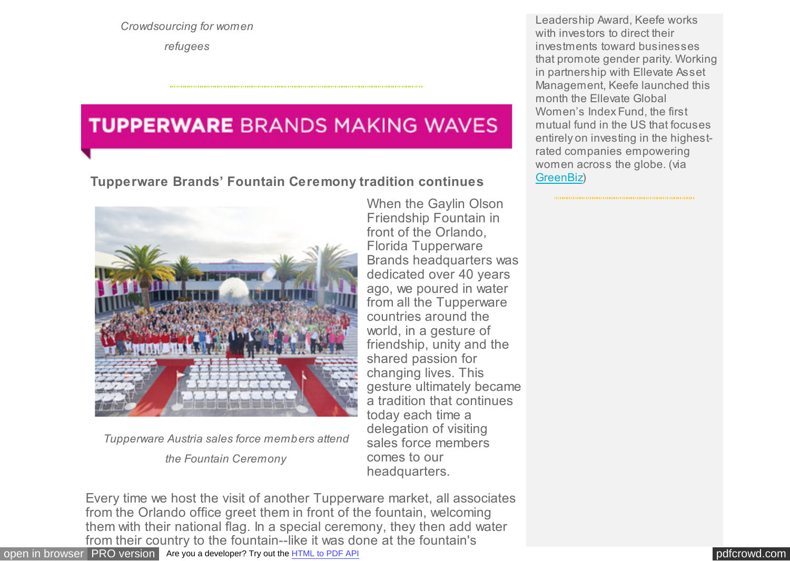*Crowdsourcing for women refugees*

### **TUPPERWARE BRANDS MAKING WAVES**

**Tupperware Brands' Fountain Ceremony tradition continues**



*Tupperware Austria sales force members attend*

*the Fountain Ceremony*

When the Gaylin Olson Friendship Fountain in front of the Orlando, Florida Tupperware Brands headquarters was dedicated over 40 years ago, we poured in water from all the Tupperware countries around the world, in a gesture of friendship, unity and the shared passion for changing lives. This gesture ultimately became a tradition that continues today each time a delegation of visiting sales force members comes to our headquarters.

Every time we host the visit of another Tupperware market, all associates from the Orlando office greet them in front of the fountain, welcoming them with their national flag. In a special ceremony, they then add water from their country to the fountain--like it was done at the fountain's

Leadership Award, Keefe works with investors to direct their investments toward businesses that promote gender parity. Working in partnership with Ellevate Asset Management, Keefe launched this month the Ellevate Global Women's Index Fund, the first mutual fund in the US that focuses entirely on investing in the highestrated companies empowering women across the globe. (via [GreenBiz\)](https://t.e2ma.net/click/5wkos/938ivu/xism6i)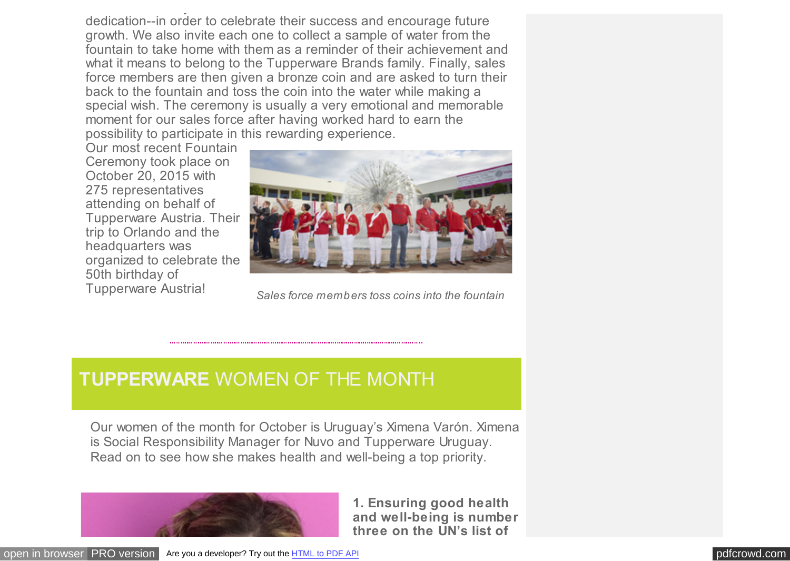from their country to the fountain--like it was done at the fountain's dedication--in order to celebrate their success and encourage future growth. We also invite each one to collect a sample of water from the fountain to take home with them as a reminder of their achievement and what it means to belong to the Tupperware Brands family. Finally, sales force members are then given a bronze coin and are asked to turn their back to the fountain and toss the coin into the water while making a special wish. The ceremony is usually a very emotional and memorable moment for our sales force after having worked hard to earn the possibility to participate in this rewarding experience.

Our most recent Fountain Ceremony took place on October 20, 2015 with 275 representatives attending on behalf of Tupperware Austria. Their trip to Orlando and the headquarters was organized to celebrate the 50th birthday of Tupperware Austria!



*Sales force members toss coins into the fountain*

### **TUPPERWARE** WOMEN OF THE MONTH

Our women of the month for October is Uruguay's Ximena Varón. Ximena is Social Responsibility Manager for Nuvo and Tupperware Uruguay. Read on to see how she makes health and well-being a top priority.



**1. Ensuring good health and well-being is number three on the UN's list of**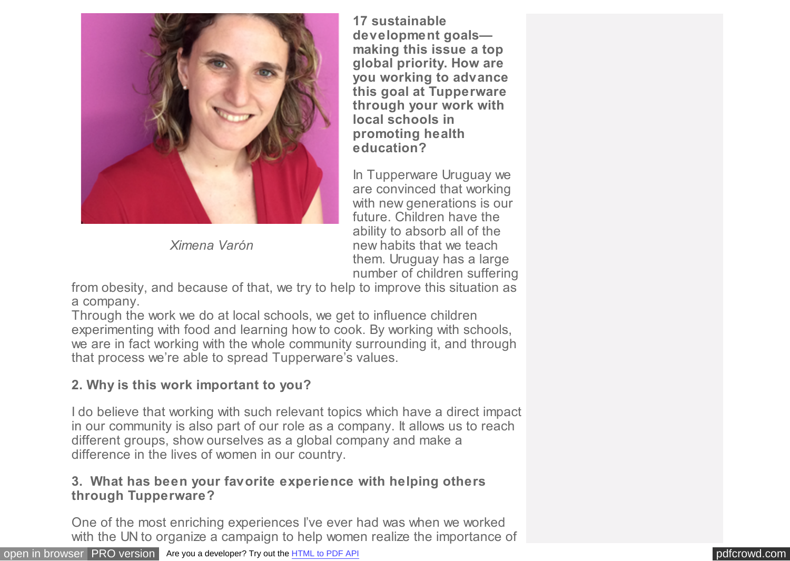

*Ximena Varón*

**17 sustainable development goals making this issue a top global priority. How are you working to advance this goal at Tupperware through your work with local schools in promoting health education?** 

In Tupperware Uruguay we are convinced that working with new generations is our future. Children have the ability to absorb all of the new habits that we teach them. Uruguay has a large number of children suffering

from obesity, and because of that, we try to help to improve this situation as a company.

Through the work we do at local schools, we get to influence children experimenting with food and learning how to cook. By working with schools, we are in fact working with the whole community surrounding it, and through that process we're able to spread Tupperware's values.

### **2. Why is this work important to you?**

I do believe that working with such relevant topics which have a direct impact in our community is also part of our role as a company. It allows us to reach different groups, show ourselves as a global company and make a difference in the lives of women in our country.

#### **3. What has been your favorite experience with helping others through Tupperware?**

One of the most enriching experiences I've ever had was when we worked with the UN to organize a campaign to help women realize the importance of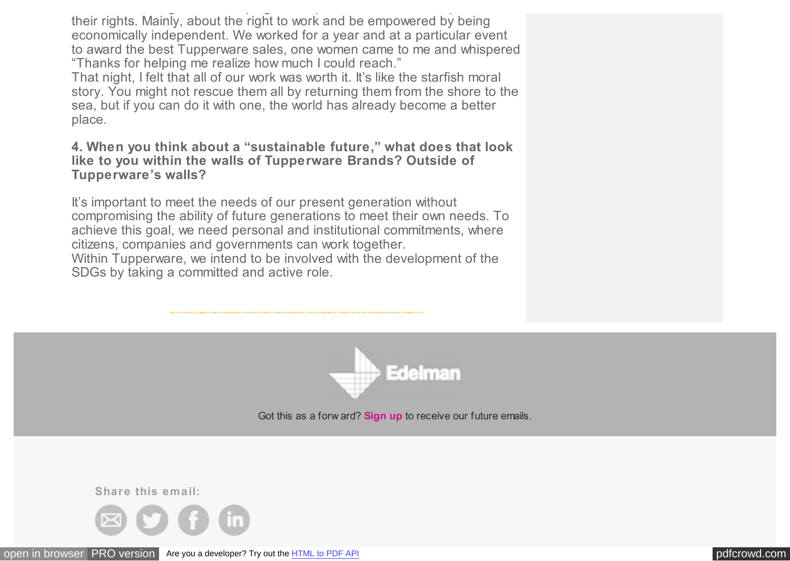with the UN to organize a campaign to help women realize the importance of  $\mathcal{L}_\mathbf{t}$ their rights. Mainly, about the right to work and be empowered by being economically independent. We worked for a year and at a particular event to award the best Tupperware sales, one women came to me and whispered "Thanks for helping me realize how much I could reach."

That night, I felt that all of our work was worth it. It's like the starfish moral story. You might not rescue them all by returning them from the shore to the sea, but if you can do it with one, the world has already become a better place.

#### **4. When you think about a "sustainable future," what does that look like to you within the walls of Tupperware Brands? Outside of Tupperware's walls?**

It's important to meet the needs of our present generation without compromising the ability of future generations to meet their own needs. To achieve this goal, we need personal and institutional commitments, where citizens, companies and governments can work together. Within Tupperware, we intend to be involved with the development of the

SDGs by taking a committed and active role.



Got this as a forw ard? **[Sign up](https://app.e2ma.net/app2/audience/signup/1767976/1740631.30900055/?v=a)** to receive our future emails.

**Share this email:**